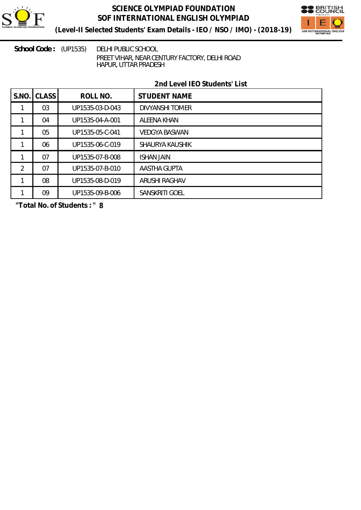

# **SCIENCE OLYMPIAD FOUNDATION SOF INTERNATIONAL ENGLISH OLYMPIAD**



**(Level-II Selected Students' Exam Details - IEO / NSO / IMO) - (2018-19)**

School Code: (UP1535) DELHI PUBLIC SCHOOL PREET VIHAR, NEAR CENTURY FACTORY, DELHI ROAD HAPUR, UTTAR PRADESH

## **2nd Level IEO Students' List**

| S.NO           | <b>CLASS</b> | ROLL NO.        | <b>STUDENT NAME</b>    |
|----------------|--------------|-----------------|------------------------|
|                | 03           | UP1535-03-D-043 | <b>DIVYANSHI TOMER</b> |
|                | 04           | UP1535-04-A-001 | <b>ALEENA KHAN</b>     |
|                | 05           | UP1535-05-C-041 | <b>VEDGYA BASWAN</b>   |
|                | 06           | UP1535-06-C-019 | <b>SHAURYA KAUSHIK</b> |
|                | 07           | UP1535-07-B-008 | <b>ISHAN JAIN</b>      |
| $\overline{2}$ | 07           | UP1535-07-B-010 | <b>AASTHA GUPTA</b>    |
|                | 08           | UP1535-08-D-019 | <b>ARUSHI RAGHAV</b>   |
|                | 09           | UP1535-09-B-006 | <b>SANSKRITI GOEL</b>  |

**"Total No. of Students : " 8**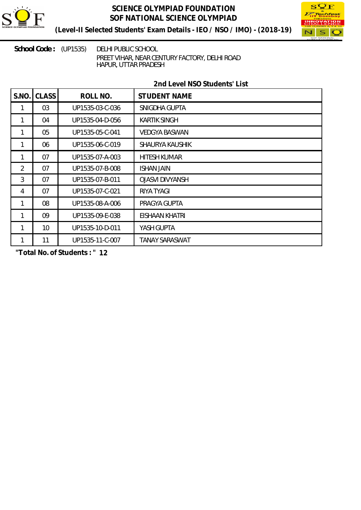

## **SCIENCE OLYMPIAD FOUNDATION SOF NATIONAL SCIENCE OLYMPIAD**



**(Level-II Selected Students' Exam Details - IEO / NSO / IMO) - (2018-19)**

School Code: (UP1535) DELHI PUBLIC SCHOOL PREET VIHAR, NEAR CENTURY FACTORY, DELHI ROAD HAPUR, UTTAR PRADESH

## **2nd Level NSO Students' List**

| S.NO           | <b>CLASS</b>    | ROLL NO.        | <b>STUDENT NAME</b>    |
|----------------|-----------------|-----------------|------------------------|
|                | 03              | UP1535-03-C-036 | SNIGDHA GUPTA          |
|                | 04              | UP1535-04-D-056 | <b>KARTIK SINGH</b>    |
| 1              | 05              | UP1535-05-C-041 | <b>VEDGYA BASWAN</b>   |
|                | 06              | UP1535-06-C-019 | SHAURYA KAUSHIK        |
|                | 07              | UP1535-07-A-003 | <b>HITESH KUMAR</b>    |
| $\overline{2}$ | 07              | UP1535-07-B-008 | <b>ISHAN JAIN</b>      |
| $\mathfrak{Z}$ | 07              | UP1535-07-B-011 | <b>OJASVI DIVYANSH</b> |
| 4              | 07              | UP1535-07-C-021 | RIYA TYAGI             |
| 1              | 08              | UP1535-08-A-006 | PRAGYA GUPTA           |
| 1              | 09              | UP1535-09-E-038 | <b>EISHAAN KHATRI</b>  |
| 1              | 10 <sup>°</sup> | UP1535-10-D-011 | YASH GUPTA             |
| 1              | 11              | UP1535-11-C-007 | <b>TANAY SARASWAT</b>  |

**"Total No. of Students : " 12**